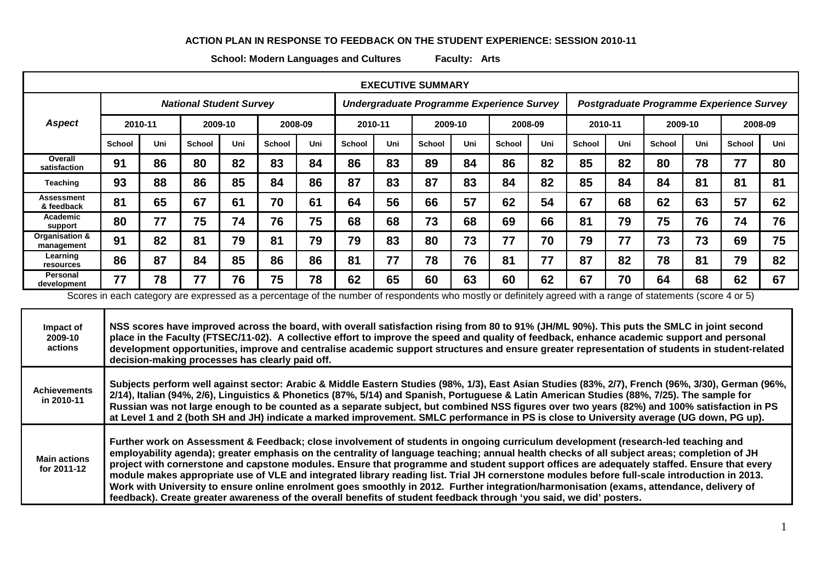## **ACTION PLAN IN RESPONSE TO FEEDBACK ON THE STUDENT EXPERIENCE: SESSION 2010-11**

**School: Modern Languages and Cultures Faculty: Arts**

| <b>EXECUTIVE SUMMARY</b>     |                                |     |               |     |               |     |                                           |     |               |     |                                  |     |                                          |     |               |     |               |     |
|------------------------------|--------------------------------|-----|---------------|-----|---------------|-----|-------------------------------------------|-----|---------------|-----|----------------------------------|-----|------------------------------------------|-----|---------------|-----|---------------|-----|
|                              | <b>National Student Survey</b> |     |               |     |               |     | Undergraduate Programme Experience Survey |     |               |     |                                  |     | Postgraduate Programme Experience Survey |     |               |     |               |     |
| <b>Aspect</b>                | 2010-11                        |     | 2009-10       |     | 2008-09       |     | 2010-11                                   |     | 2009-10       |     | 2008-09                          |     | 2010-11                                  |     | 2009-10       |     | 2008-09       |     |
|                              | <b>School</b>                  | Uni | <b>School</b> | Uni | <b>School</b> | Uni | <b>School</b>                             | Uni | <b>School</b> | Uni | <b>School</b>                    | Uni | <b>School</b>                            | Uni | <b>School</b> | Uni | <b>School</b> | Uni |
| Overall<br>satisfaction      | 91                             | 86  | 80            | 82  | 83            | 84  | 86                                        | 83  | 89            | 84  | 86                               | 82  | 85                                       | 82  | 80            | 78  | 77            | 80  |
| Teaching                     | 93                             | 88  | 86            | 85  | 84            | 86  | 87                                        | 83  | 87            | 83  | 84                               | 82  | 85                                       | 84  | 84            | 81  | 81            | 81  |
| Assessment<br>& feedback     | 81                             | 65  | 67            | 61  | 70            | 61  | 64                                        | 56  | 66            | 57  | 62                               | 54  | 67                                       | 68  | 62            | 63  | 57            | 62  |
| Academic<br>support          | 80                             | 77  | 75            | 74  | 76            | 75  | 68                                        | 68  | 73            | 68  | 69                               | 66  | 81                                       | 79  | 75            | 76  | 74            | 76  |
| Organisation &<br>management | 91                             | 82  | 81            | 79  | 81            | 79  | 79                                        | 83  | 80            | 73  | 77                               | 70  | 79                                       | 77  | 73            | 73  | 69            | 75  |
| Learning<br>resources        | 86                             | 87  | 84            | 85  | 86            | 86  | 81                                        | 77  | 78            | 76  | 81                               | 77  | 87                                       | 82  | 78            | 81  | 79            | 82  |
| Personal<br>development      | 77                             | 78  | 77            | 76  | 75            | 78  | 62                                        | 65  | 60            | 63  | 60<br>الملتون والمستنقل والمسالم | 62  | 67<br>المقادمات                          | 70  | 64            | 68  | 62            | 67  |

Scores in each category are expressed as a percentage of the number of respondents who mostly or definitely agreed with a range of statements (score 4 or 5)

**Impact of 2009-10 actions NSS scores have improved across the board, with overall satisfaction rising from 80 to 91% (JH/ML 90%). This puts the SMLC in joint second place in the Faculty (FTSEC/11-02). A collective effort to improve the speed and quality of feedback, enhance academic support and personal development opportunities, improve and centralise academic support structures and ensure greater representation of students in student-related decision-making processes has clearly paid off.** 

**Achievements in 2010-11 Subjects perform well against sector: Arabic & Middle Eastern Studies (98%, 1/3), East Asian Studies (83%, 2/7), French (96%, 3/30), German (96%, 2/14), Italian (94%, 2/6), Linguistics & Phonetics (87%, 5/14) and Spanish, Portuguese & Latin American Studies (88%, 7/25). The sample for Russian was not large enough to be counted as a separate subject, but combined NSS figures over two years (82%) and 100% satisfaction in PS at Level 1 and 2 (both SH and JH) indicate a marked improvement. SMLC performance in PS is close to University average (UG down, PG up).**

**Main actions for 2011-12 Further work on Assessment & Feedback; close involvement of students in ongoing curriculum development (research-led teaching and employability agenda); greater emphasis on the centrality of language teaching; annual health checks of all subject areas; completion of JH project with cornerstone and capstone modules. Ensure that programme and student support offices are adequately staffed. Ensure that every module makes appropriate use of VLE and integrated library reading list. Trial JH cornerstone modules before full-scale introduction in 2013. Work with University to ensure online enrolment goes smoothly in 2012. Further integration/harmonisation (exams, attendance, delivery of feedback). Create greater awareness of the overall benefits of student feedback through 'you said, we did' posters.**